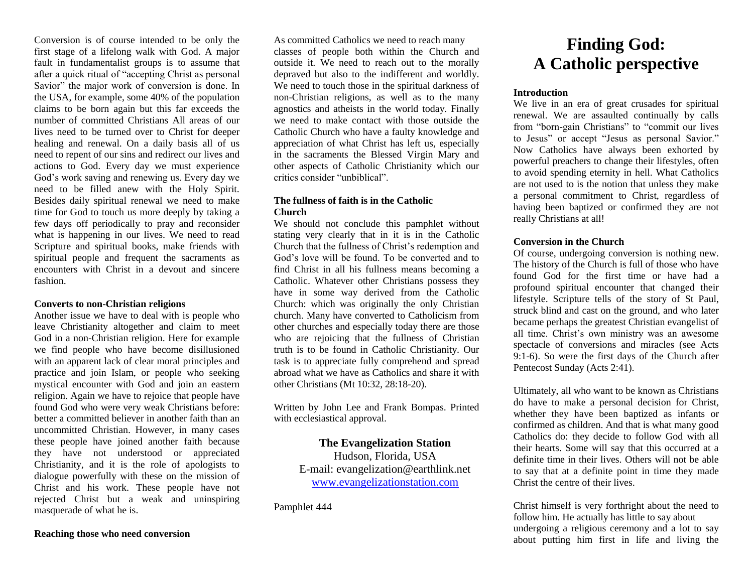Conversion is of course intended to be only the first stage of a lifelong walk with God. A major fault in fundamentalist groups is to assume that after a quick ritual of "accepting Christ as personal Savior" the major work of conversion is done. In the USA, for example, some 40% of the population claims to be born again but this far exceeds the number of committed Christians All areas of our lives need to be turned over to Christ for deeper healing and renewal. On a daily basis all of us need to repent of our sins and redirect our lives and actions to God. Every day we must experience God's work saving and renewing us. Every day we need to be filled anew with the Holy Spirit. Besides daily spiritual renewal we need to make time for God to touch us more deeply by taking a few days off periodically to pray and reconsider what is happening in our lives. We need to read Scripture and spiritual books, make friends with spiritual people and frequent the sacraments as encounters with Christ in a devout and sincere fashion.

### **Converts to non-Christian religions**

Another issue we have to deal with is people who leave Christianity altogether and claim to meet God in a non-Christian religion. Here for example we find people who have become disillusioned with an apparent lack of clear moral principles and practice and join Islam, or people who seeking mystical encounter with God and join an eastern religion. Again we have to rejoice that people have found God who were very weak Christians before: better a committed believer in another faith than an uncommitted Christian. However, in many cases these people have joined another faith because they have not understood or appreciated Christianity, and it is the role of apologists to dialogue powerfully with these on the mission of Christ and his work. These people have not rejected Christ but a weak and uninspiring masquerade of what he is.

As committed Catholics we need to reach many classes of people both within the Church and outside it. We need to reach out to the morally depraved but also to the indifferent and worldly. We need to touch those in the spiritual darkness of non-Christian religions, as well as to the many agnostics and atheists in the world today. Finally we need to make contact with those outside the Catholic Church who have a faulty knowledge and appreciation of what Christ has left us, especially in the sacraments the Blessed Virgin Mary and other aspects of Catholic Christianity which our critics consider "unbiblical".

## **The fullness of faith is in the Catholic Church**

We should not conclude this pamphlet without stating very clearly that in it is in the Catholic Church that the fullness of Christ's redemption and God's love will be found. To be converted and to find Christ in all his fullness means becoming a Catholic. Whatever other Christians possess they have in some way derived from the Catholic Church: which was originally the only Christian church. Many have converted to Catholicism from other churches and especially today there are those who are rejoicing that the fullness of Christian truth is to be found in Catholic Christianity. Our task is to appreciate fully comprehend and spread abroad what we have as Catholics and share it with other Christians (Mt 10:32, 28:18-20).

Written by John Lee and Frank Bompas. Printed with ecclesiastical approval.

## **The Evangelization Station**  Hudson, Florida, USA E-mail: evangelization@earthlink.net [www.evangelizationstation.com](http://www.pjpiisoe.org/)

Pamphlet 444

# **Finding God: A Catholic perspective**

#### **Introduction**

We live in an era of great crusades for spiritual renewal. We are assaulted continually by calls from "born-gain Christians" to "commit our lives to Jesus" or accept "Jesus as personal Savior." Now Catholics have always been exhorted by powerful preachers to change their lifestyles, often to avoid spending eternity in hell. What Catholics are not used to is the notion that unless they make a personal commitment to Christ, regardless of having been baptized or confirmed they are not really Christians at all!

### **Conversion in the Church**

Of course, undergoing conversion is nothing new. The history of the Church is full of those who have found God for the first time or have had a profound spiritual encounter that changed their lifestyle. Scripture tells of the story of St Paul, struck blind and cast on the ground, and who later became perhaps the greatest Christian evangelist of all time. Christ's own ministry was an awesome spectacle of conversions and miracles (see Acts 9:1-6). So were the first days of the Church after Pentecost Sunday (Acts 2:41).

Ultimately, all who want to be known as Christians do have to make a personal decision for Christ, whether they have been baptized as infants or confirmed as children. And that is what many good Catholics do: they decide to follow God with all their hearts. Some will say that this occurred at a definite time in their lives. Others will not be able to say that at a definite point in time they made Christ the centre of their lives.

Christ himself is very forthright about the need to follow him. He actually has little to say about undergoing a religious ceremony and a lot to say about putting him first in life and living the

#### **Reaching those who need conversion**